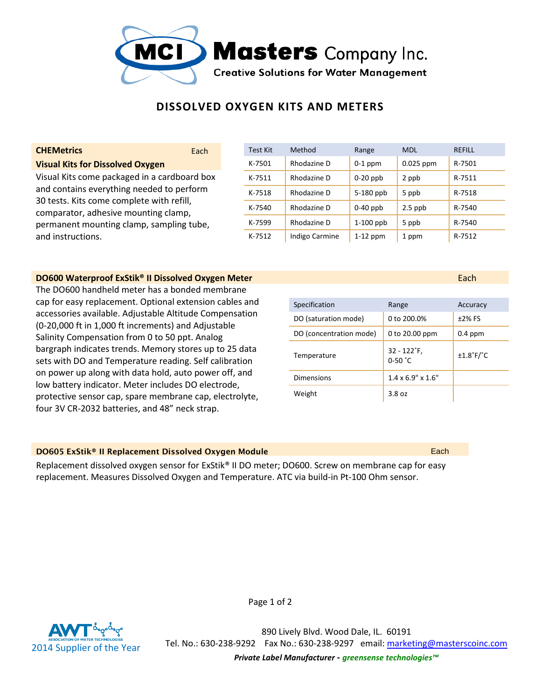

# **DISSOLVED OXYGEN KITS AND METERS**

## **Visual Kits for Dissolved Oxygen**

Visual Kits come packaged in a cardboard box and contains everything needed to perform 30 tests. Kits come complete with refill, comparator, adhesive mounting clamp, permanent mounting clamp, sampling tube, and instructions.

### **DO600 Waterproof ExStik® II Dissolved Oxygen Meter <b>Example 2006** Control and Capital Capital Capital Capital Capital Capital Capital Capital Capital Capital Capital Capital Capital Capital Capital Capital Capital Capital

The DO600 handheld meter has a bonded membrane cap for easy replacement. Optional extension cables and accessories available. Adjustable Altitude Compensation (0-20,000 ft in 1,000 ft increments) and Adjustable Salinity Compensation from 0 to 50 ppt. Analog bargraph indicates trends. Memory stores up to 25 data sets with DO and Temperature reading. Self calibration on power up along with data hold, auto power off, and low battery indicator. Meter includes DO electrode, protective sensor cap, spare membrane cap, electrolyte, four 3V CR-2032 batteries, and 48" neck strap.

# **CHEMetrics Each Test Kit Method Range MDL REFILL** K-7501 Rhodazine D 0-1 ppm 0.025 ppm R-7501 K-7511 Rhodazine D 0-20 ppb 2 ppb R-7511 K-7518 Rhodazine D  $\overline{5}$ -180 ppb 5 ppb R-7518 K-7540 Rhodazine D 0-40 ppb 2.5 ppb R-7540 K-7599 Rhodazine D  $\vert$  1-100 ppb  $\vert$  5 ppb R-7540 K-7512 | Indigo Carmine | 1-12 ppm | 1 ppm | R-7512

Specification **Range Accuracy** DO (saturation mode) 0 to 200.0% ±2% FS DO (concentration mode) 0 to 20.00 ppm 0.4 ppm Temperature  $32 - 122^{\circ}F$ ,  $32 - 122^{\circ}F$ ,  $±1.8$ °F/ $°C$ Dimensions  $1.4 \times 6.9" \times 1.6"$ Weight 3.8 oz

#### **DO605 ExStik® II Replacement Dissolved Oxygen Module**  Each **Communist Construction of Each** Each

Replacement dissolved oxygen sensor for ExStik® II DO meter; DO600. Screw on membrane cap for easy replacement. Measures Dissolved Oxygen and Temperature. ATC via build-in Pt-100 Ohm sensor.



890 Lively Blvd. Wood Dale, IL. 60191 Tel. No.: 630-238-9292 Fax No.: 630-238-9297 email: marketing@masterscoinc.com *Private Label Manufacturer - greensense technologies™*

Page 1 of 2